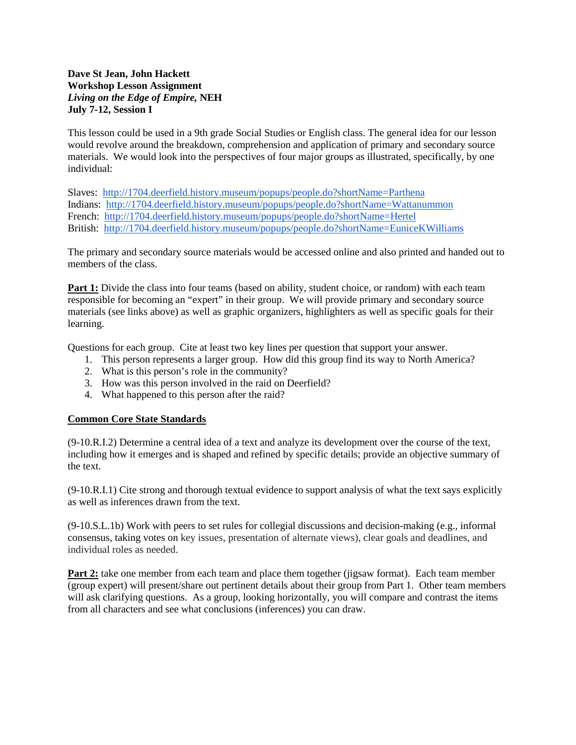## **Dave St Jean, John Hackett Workshop Lesson Assignment** *Living on the Edge of Empire,* **NEH July 7-12, Session I**

This lesson could be used in a 9th grade Social Studies or English class. The general idea for our lesson would revolve around the breakdown, comprehension and application of primary and secondary source materials. We would look into the perspectives of four major groups as illustrated, specifically, by one individual:

Slaves: <http://1704.deerfield.history.museum/popups/people.do?shortName=Parthena> Indians: <http://1704.deerfield.history.museum/popups/people.do?shortName=Wattanummon> French: <http://1704.deerfield.history.museum/popups/people.do?shortName=Hertel> British: <http://1704.deerfield.history.museum/popups/people.do?shortName=EuniceKWilliams>

The primary and secondary source materials would be accessed online and also printed and handed out to members of the class.

**Part 1:** Divide the class into four teams (based on ability, student choice, or random) with each team responsible for becoming an "expert" in their group. We will provide primary and secondary source materials (see links above) as well as graphic organizers, highlighters as well as specific goals for their learning.

Questions for each group. Cite at least two key lines per question that support your answer.

- 1. This person represents a larger group. How did this group find its way to North America?
- 2. What is this person's role in the community?
- 3. How was this person involved in the raid on Deerfield?
- 4. What happened to this person after the raid?

## **Common Core State Standards**

(9-10.R.I.2) Determine a central idea of a text and analyze its development over the course of the text, including how it emerges and is shaped and refined by specific details; provide an objective summary of the text.

(9-10.R.I.1) Cite strong and thorough textual evidence to support analysis of what the text says explicitly as well as inferences drawn from the text.

(9-10.S.L.1b) Work with peers to set rules for collegial discussions and decision-making (e.g., informal consensus, taking votes on key issues, presentation of alternate views), clear goals and deadlines, and individual roles as needed.

**Part 2:** take one member from each team and place them together (jigsaw format). Each team member (group expert) will present/share out pertinent details about their group from Part 1. Other team members will ask clarifying questions. As a group, looking horizontally, you will compare and contrast the items from all characters and see what conclusions (inferences) you can draw.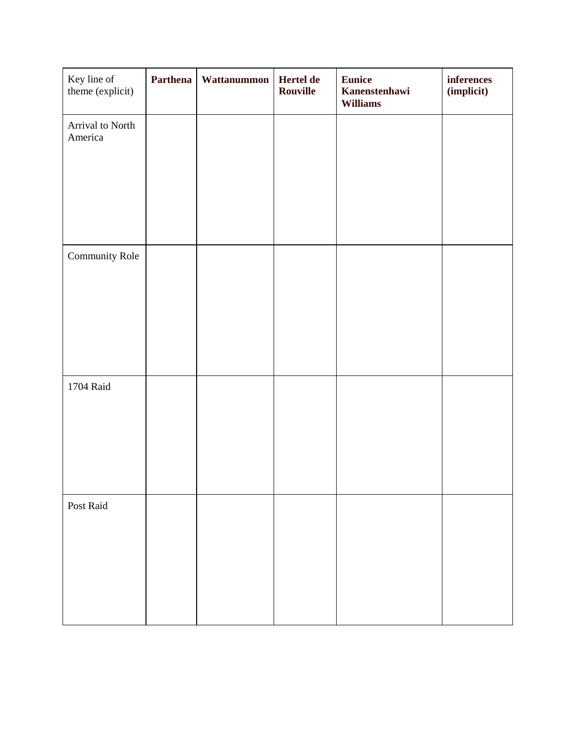| Key line of<br>theme (explicit) | Parthena | Wattanummon | Hertel de<br>Rouville | <b>Eunice</b><br>Kanenstenhawi<br><b>Williams</b> | $inferences$<br>(implicit) |
|---------------------------------|----------|-------------|-----------------------|---------------------------------------------------|----------------------------|
| Arrival to North<br>America     |          |             |                       |                                                   |                            |
|                                 |          |             |                       |                                                   |                            |
|                                 |          |             |                       |                                                   |                            |
| Community Role                  |          |             |                       |                                                   |                            |
|                                 |          |             |                       |                                                   |                            |
|                                 |          |             |                       |                                                   |                            |
| $1704$ $\rm{Rad}$               |          |             |                       |                                                   |                            |
|                                 |          |             |                       |                                                   |                            |
|                                 |          |             |                       |                                                   |                            |
| Post Raid                       |          |             |                       |                                                   |                            |
|                                 |          |             |                       |                                                   |                            |
|                                 |          |             |                       |                                                   |                            |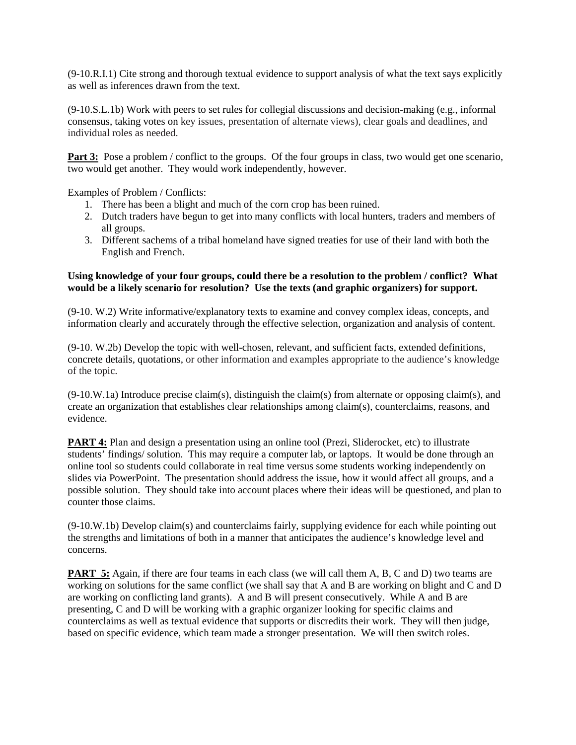(9-10.R.I.1) Cite strong and thorough textual evidence to support analysis of what the text says explicitly as well as inferences drawn from the text.

(9-10.S.L.1b) Work with peers to set rules for collegial discussions and decision-making (e.g., informal consensus, taking votes on key issues, presentation of alternate views), clear goals and deadlines, and individual roles as needed.

**Part 3:** Pose a problem / conflict to the groups. Of the four groups in class, two would get one scenario, two would get another. They would work independently, however.

Examples of Problem / Conflicts:

- 1. There has been a blight and much of the corn crop has been ruined.
- 2. Dutch traders have begun to get into many conflicts with local hunters, traders and members of all groups.
- 3. Different sachems of a tribal homeland have signed treaties for use of their land with both the English and French.

## **Using knowledge of your four groups, could there be a resolution to the problem / conflict? What would be a likely scenario for resolution? Use the texts (and graphic organizers) for support.**

(9-10. W.2) Write informative/explanatory texts to examine and convey complex ideas, concepts, and information clearly and accurately through the effective selection, organization and analysis of content.

(9-10. W.2b) Develop the topic with well-chosen, relevant, and sufficient facts, extended definitions, concrete details, quotations, or other information and examples appropriate to the audience's knowledge of the topic.

 $(9-10.W.1a)$  Introduce precise claim(s), distinguish the claim(s) from alternate or opposing claim(s), and create an organization that establishes clear relationships among claim(s), counterclaims, reasons, and evidence.

**PART 4:** Plan and design a presentation using an online tool (Prezi, Sliderocket, etc) to illustrate students' findings/ solution. This may require a computer lab, or laptops. It would be done through an online tool so students could collaborate in real time versus some students working independently on slides via PowerPoint. The presentation should address the issue, how it would affect all groups, and a possible solution. They should take into account places where their ideas will be questioned, and plan to counter those claims.

(9-10.W.1b) Develop claim(s) and counterclaims fairly, supplying evidence for each while pointing out the strengths and limitations of both in a manner that anticipates the audience's knowledge level and concerns.

**PART 5:** Again, if there are four teams in each class (we will call them A, B, C and D) two teams are working on solutions for the same conflict (we shall say that A and B are working on blight and C and D are working on conflicting land grants). A and B will present consecutively. While A and B are presenting, C and D will be working with a graphic organizer looking for specific claims and counterclaims as well as textual evidence that supports or discredits their work. They will then judge, based on specific evidence, which team made a stronger presentation. We will then switch roles.